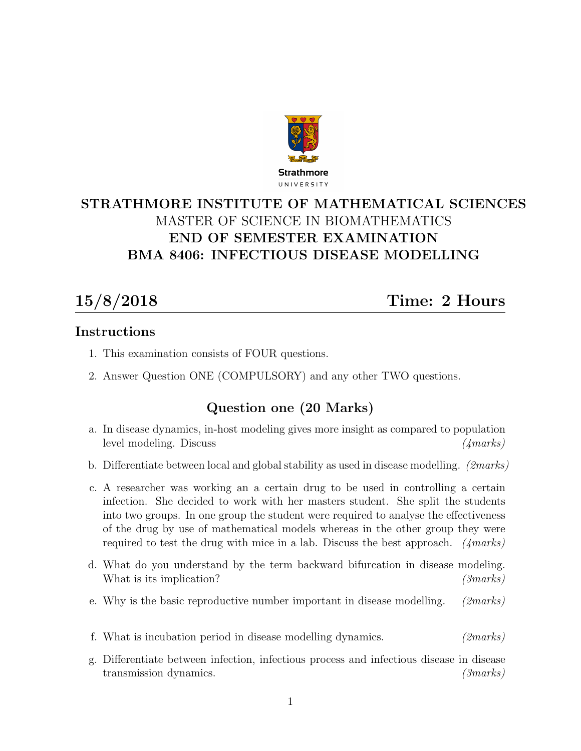

# STRATHMORE INSTITUTE OF MATHEMATICAL SCIENCES MASTER OF SCIENCE IN BIOMATHEMATICS END OF SEMESTER EXAMINATION BMA 8406: INFECTIOUS DISEASE MODELLING

15/8/2018 Time: 2 Hours

#### Instructions

- 1. This examination consists of FOUR questions.
- 2. Answer Question ONE (COMPULSORY) and any other TWO questions.

## Question one (20 Marks)

- a. In disease dynamics, in-host modeling gives more insight as compared to population level modeling. Discuss (4marks)
- b. Differentiate between local and global stability as used in disease modelling. *(2marks)*
- c. A researcher was working an a certain drug to be used in controlling a certain infection. She decided to work with her masters student. She split the students into two groups. In one group the student were required to analyse the effectiveness of the drug by use of mathematical models whereas in the other group they were required to test the drug with mice in a lab. Discuss the best approach.  $(4 marks)$
- d. What do you understand by the term backward bifurcation in disease modeling. What is its implication? (3marks)
- e. Why is the basic reproductive number important in disease modelling. (2marks)
- f. What is incubation period in disease modelling dynamics. (2marks)
- g. Differentiate between infection, infectious process and infectious disease in disease transmission dynamics. (3marks)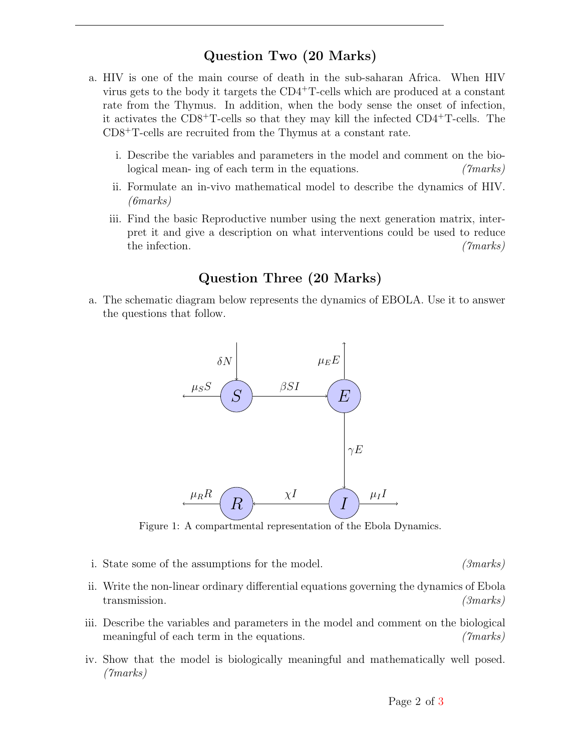#### Question Two (20 Marks)

- a. HIV is one of the main course of death in the sub-saharan Africa. When HIV virus gets to the body it targets the CD4<sup>+</sup>T-cells which are produced at a constant rate from the Thymus. In addition, when the body sense the onset of infection, it activates the CD8<sup>+</sup>T-cells so that they may kill the infected CD4<sup>+</sup>T-cells. The CD8<sup>+</sup>T-cells are recruited from the Thymus at a constant rate.
	- i. Describe the variables and parameters in the model and comment on the biological mean- ing of each term in the equations. (Transferred mean-
	- ii. Formulate an in-vivo mathematical model to describe the dynamics of HIV. (6marks)
	- iii. Find the basic Reproductive number using the next generation matrix, interpret it and give a description on what interventions could be used to reduce the infection. (*Tmarks*)

## Question Three (20 Marks)

a. The schematic diagram below represents the dynamics of EBOLA. Use it to answer the questions that follow.



Figure 1: A compartmental representation of the Ebola Dynamics.

- i. State some of the assumptions for the model. (3marks)
- ii. Write the non-linear ordinary differential equations governing the dynamics of Ebola transmission. (3marks) (3marks)
- iii. Describe the variables and parameters in the model and comment on the biological meaningful of each term in the equations. (The same of  $(marks)$ )
- iv. Show that the model is biologically meaningful and mathematically well posed. (7marks)